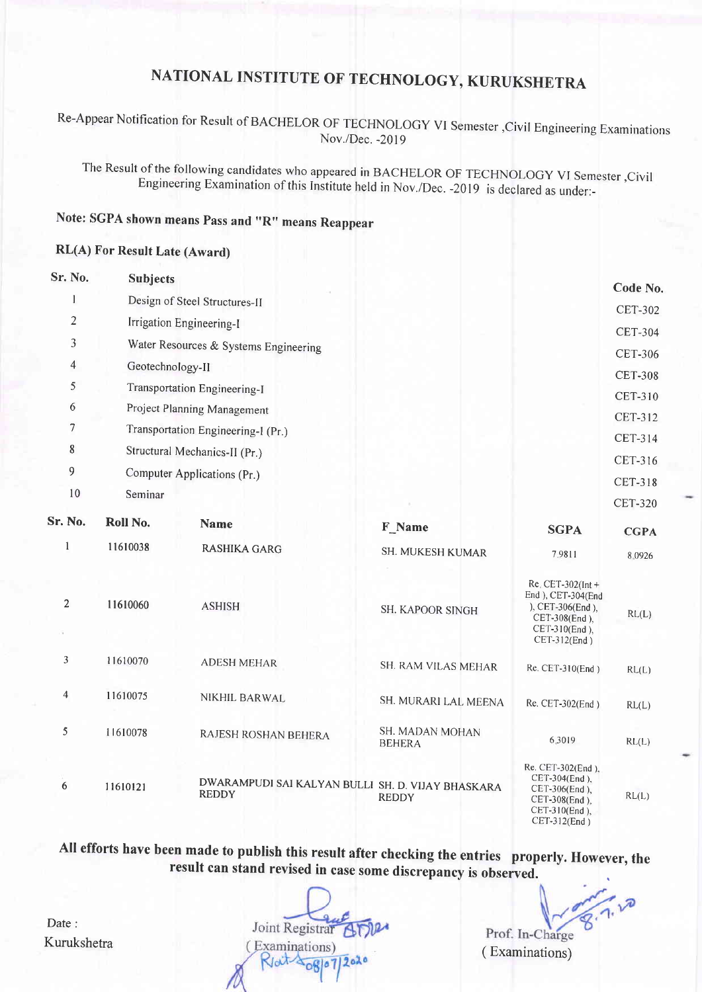## NATIONAL INSTITUTE OF TECHNOLOGY, KURUKSHETRA

### Re-Appear Notification for Result of BACHELOR OF TECHNOLOGY VI Semester , Civil Engineering Examinations Nov./Dec. -2019

The Result of the following candidates who appeared in BACHELOR OF TECHNOLOGY VI Semester, Civil<br>Engineering Examination of this Institute held in Nov./Dec. -2019 is declared as under:-

## Note: SGPA shown means Pass and "R" means Reappear

#### RL(A) For Result Late (Award)

| Sr. No.        | <b>Subjects</b>                       |                                                                   |                                  |                                                                                                                  |                |
|----------------|---------------------------------------|-------------------------------------------------------------------|----------------------------------|------------------------------------------------------------------------------------------------------------------|----------------|
| 1              | Design of Steel Structures-II         |                                                                   |                                  |                                                                                                                  | Code No.       |
| $\overline{2}$ | Irrigation Engineering-I              |                                                                   |                                  | <b>CET-302</b>                                                                                                   |                |
| 3              | Water Resources & Systems Engineering |                                                                   |                                  |                                                                                                                  | <b>CET-304</b> |
| 4              | Geotechnology-II                      |                                                                   |                                  |                                                                                                                  | <b>CET-306</b> |
| 5              |                                       |                                                                   |                                  | <b>CET-308</b>                                                                                                   |                |
| 6              | Transportation Engineering-I          |                                                                   |                                  | <b>CET-310</b>                                                                                                   |                |
| 7              | Project Planning Management           |                                                                   |                                  | CET-312                                                                                                          |                |
|                | Transportation Engineering-I (Pr.)    |                                                                   |                                  |                                                                                                                  | CET-314        |
| 8              | Structural Mechanics-II (Pr.)         |                                                                   |                                  | CET-316                                                                                                          |                |
| 9              | Computer Applications (Pr.)           |                                                                   |                                  | <b>CET-318</b>                                                                                                   |                |
| 10             | Seminar                               |                                                                   |                                  |                                                                                                                  | <b>CET-320</b> |
| Sr. No.        | Roll No.                              | <b>Name</b>                                                       | F Name                           | <b>SGPA</b>                                                                                                      | <b>CGPA</b>    |
| $\mathbf{1}$   | 11610038                              | <b>RASHIKA GARG</b>                                               | SH. MUKESH KUMAR                 | 7.9811                                                                                                           | 8.0926         |
| $\overline{2}$ | 11610060                              | <b>ASHISH</b>                                                     | SH. KAPOOR SINGH                 | $Re$ , CET-302(Int +<br>End ), CET-304(End<br>), CET-306(End),<br>CET-308(End),<br>CET-310(End),<br>CET-312(End) | RL(L)          |
| 3              | 11610070                              | <b>ADESH MEHAR</b>                                                | SH. RAM VILAS MEHAR              | Re. CET-310(End)                                                                                                 | RL(L)          |
| 4              | 11610075                              | NIKHIL BARWAL                                                     | SH. MURARI LAL MEENA             | Re. CET-302(End)                                                                                                 | RL(L)          |
| 5              | 11610078                              | RAJESH ROSHAN BEHERA                                              | SH. MADAN MOHAN<br><b>BEHERA</b> | 6.3019                                                                                                           | RL(L)          |
| 6              | 11610121                              | DWARAMPUDI SAI KALYAN BULLI SH. D. VIJAY BHASKARA<br><b>REDDY</b> | <b>REDDY</b>                     | Re. CET-302(End),<br>CET-304(End),<br>CET-306(End),<br>CET-308(End),                                             | RL(L)          |

All efforts have been made to publish this result after checking the entries properly. However, the result can stand revised in case some discrepancy is observed.

Joint Registrar ATIP (Examinations)  $R/dt \frac{1}{20Rl^2}$  2020

Prof. In-Charge ( Examinations)

CET-310(End ). CET-312(End )

Date : Kurukshetra